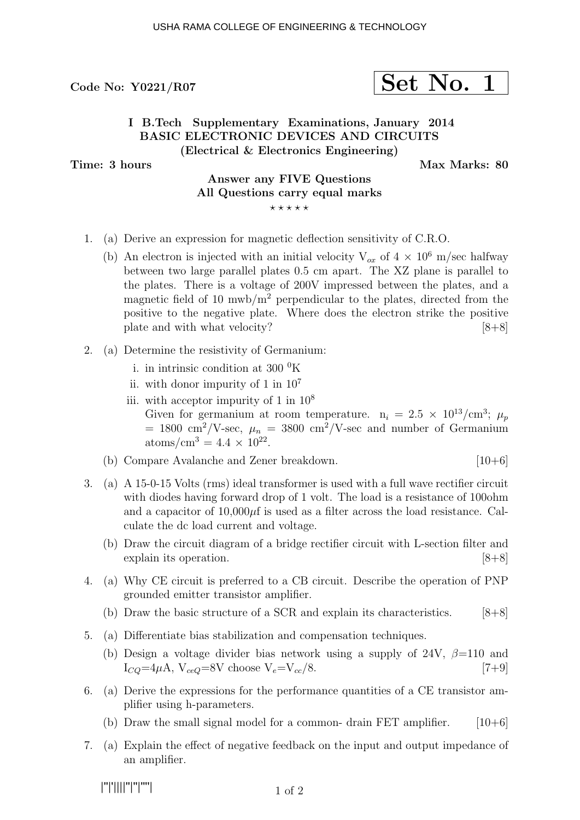# $\sigma$ Code No: Y0221/R07  $\vert$  Set No. 1

## I B.Tech Supplementary Examinations, January 2014 BASIC ELECTRONIC DEVICES AND CIRCUITS (Electrical & Electronics Engineering)

Time: 3 hours and the set of the Max Marks: 80

Answer any FIVE Questions All Questions carry equal marks

 $***$ \*\*

- 1. (a) Derive an expression for magnetic deflection sensitivity of C.R.O.
	- (b) An electron is injected with an initial velocity  $V_{ox}$  of  $4 \times 10^6$  m/sec halfway between two large parallel plates 0.5 cm apart. The XZ plane is parallel to the plates. There is a voltage of 200V impressed between the plates, and a magnetic field of 10 mwb/ $m<sup>2</sup>$  perpendicular to the plates, directed from the positive to the negative plate. Where does the electron strike the positive plate and with what velocity? [8+8]
- 2. (a) Determine the resistivity of Germanium:
	- i. in intrinsic condition at 300  $\rm{^0K}$
	- ii. with donor impurity of 1 in  $10^7$
	- iii. with acceptor impurity of 1 in  $10^8$ Given for germanium at room temperature.  $n_i = 2.5 \times 10^{13}/\text{cm}^3$ ;  $\mu_p$  $= 1800 \text{ cm}^2/\text{V-sec}, \mu_n = 3800 \text{ cm}^2/\text{V-sec}$  and number of Germanium  $\text{atoms/cm}^3 = 4.4 \times 10^{22}$ .
	- (b) Compare Avalanche and Zener breakdown. [10+6]
- 3. (a) A 15-0-15 Volts (rms) ideal transformer is used with a full wave rectifier circuit with diodes having forward drop of 1 volt. The load is a resistance of 100ohm and a capacitor of  $10,000\mu$  f is used as a filter across the load resistance. Calculate the dc load current and voltage.
	- (b) Draw the circuit diagram of a bridge rectifier circuit with L-section filter and explain its operation. [8+8]
- 4. (a) Why CE circuit is preferred to a CB circuit. Describe the operation of PNP grounded emitter transistor amplifier.
	- (b) Draw the basic structure of a SCR and explain its characteristics.  $[8+8]$
- 5. (a) Differentiate bias stabilization and compensation techniques.
	- (b) Design a voltage divider bias network using a supply of 24V,  $\beta$ =110 and  $I_{CQ} = 4\mu A$ ,  $V_{ceQ} = 8V$  choose  $V_e = V_{cc}/8$ . [7+9]
- 6. (a) Derive the expressions for the performance quantities of a CE transistor amplifier using h-parameters.
	- (b) Draw the small signal model for a common-drain FET amplifier.  $[10+6]$
- 7. (a) Explain the effect of negative feedback on the input and output impedance of an amplifier.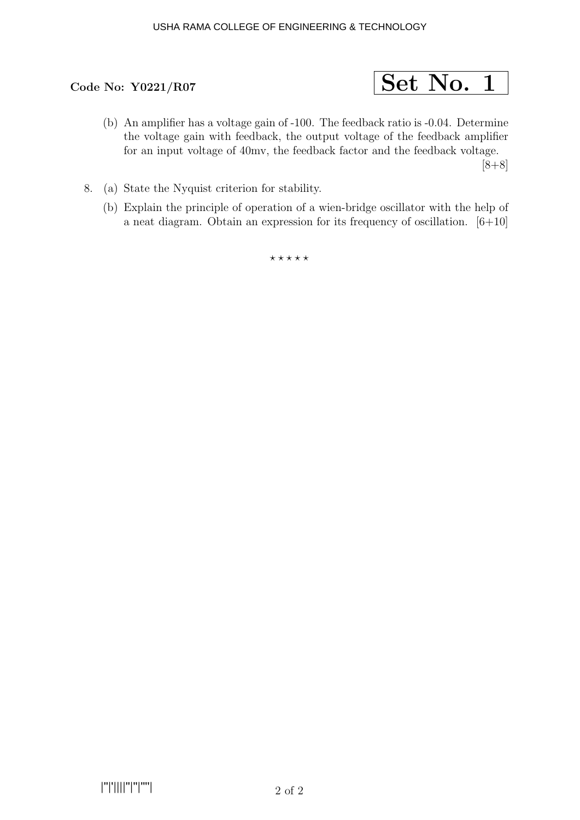# Code No:  $Y0221/R07$  Set No. 1

(b) An amplifier has a voltage gain of -100. The feedback ratio is -0.04. Determine the voltage gain with feedback, the output voltage of the feedback amplifier for an input voltage of 40mv, the feedback factor and the feedback voltage.

[8+8]

- 8. (a) State the Nyquist criterion for stability.
	- (b) Explain the principle of operation of a wien-bridge oscillator with the help of a neat diagram. Obtain an expression for its frequency of oscillation. [6+10]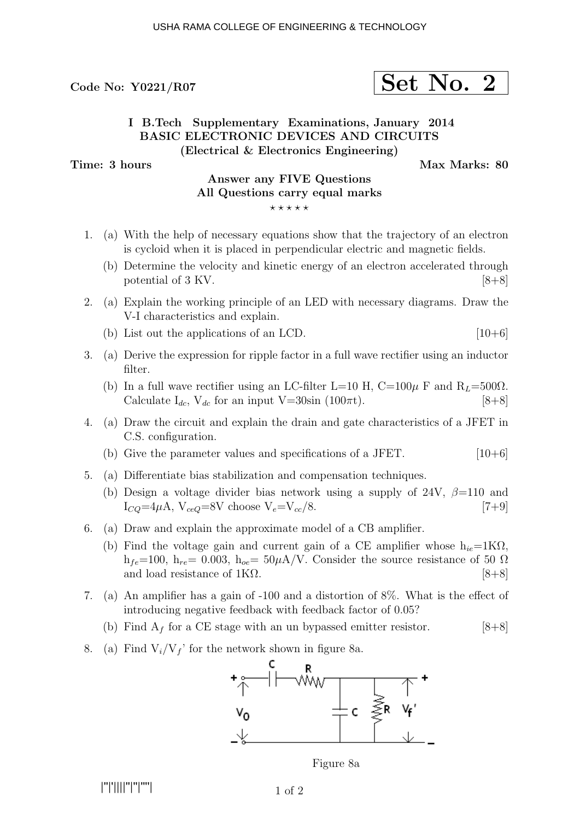## $\sigma$ Code No: Y0221/R07  $\vert$  Set No. 2

## I B.Tech Supplementary Examinations, January 2014 BASIC ELECTRONIC DEVICES AND CIRCUITS (Electrical & Electronics Engineering)

Time: 3 hours and the set of the Max Marks: 80

### Answer any FIVE Questions All Questions carry equal marks  $***$ \*\*

- 1. (a) With the help of necessary equations show that the trajectory of an electron is cycloid when it is placed in perpendicular electric and magnetic fields.
	- (b) Determine the velocity and kinetic energy of an electron accelerated through potential of  $3$  KV.  $[8+8]$
- 2. (a) Explain the working principle of an LED with necessary diagrams. Draw the V-I characteristics and explain.
	- (b) List out the applications of an LCD.  $[10+6]$
- 3. (a) Derive the expression for ripple factor in a full wave rectifier using an inductor filter.
	- (b) In a full wave rectifier using an LC-filter L=10 H, C=100 $\mu$  F and R<sub>L</sub>=500 $\Omega$ . Calculate  $I_{dc}$ ,  $V_{dc}$  for an input V=30sin (100 $\pi$ t). [8+8]
- 4. (a) Draw the circuit and explain the drain and gate characteristics of a JFET in C.S. configuration.
	- (b) Give the parameter values and specifications of a JFET.  $[10+6]$
- 5. (a) Differentiate bias stabilization and compensation techniques.
	- (b) Design a voltage divider bias network using a supply of 24V,  $\beta$ =110 and  $I_{CO} = 4\mu A$ ,  $V_{ceO} = 8V$  choose  $V_e = V_{cc}/8$ . [7+9]
- 6. (a) Draw and explain the approximate model of a CB amplifier.
	- (b) Find the voltage gain and current gain of a CE amplifier whose  $h_{ie}=1K\Omega$ , h<sub>fe</sub>=100, h<sub>re</sub>= 0.003, h<sub>oe</sub>= 50 $\mu$ A/V. Consider the source resistance of 50  $\Omega$ and load resistance of  $1K\Omega$ . [8+8]
- 7. (a) An amplifier has a gain of -100 and a distortion of 8%. What is the effect of introducing negative feedback with feedback factor of 0.05?
	- (b) Find  $A_f$  for a CE stage with an un bypassed emitter resistor.  $[8+8]$
- 8. (a) Find  $V_i/V_f$  for the network shown in figure 8a.



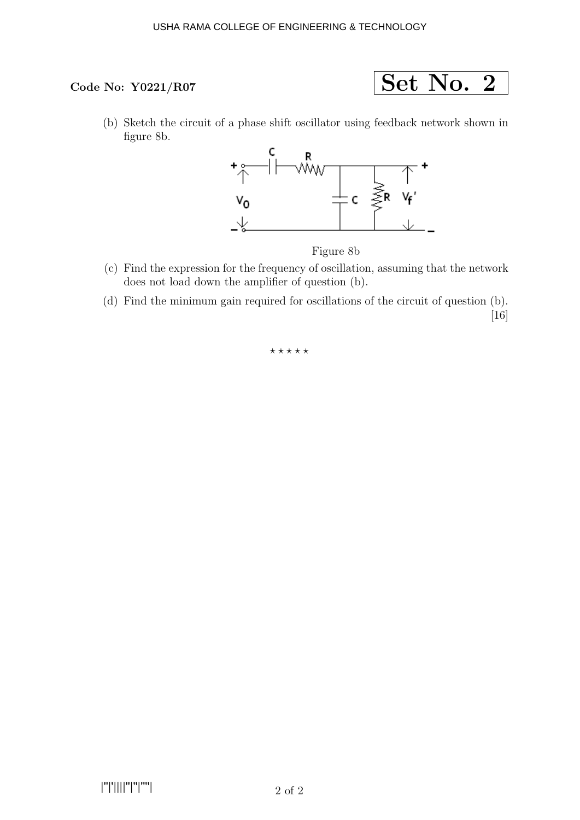Code No: Y0221/R07  $\qquad \qquad$  Set No. 2

(b) Sketch the circuit of a phase shift oscillator using feedback network shown in figure 8b.



Figure 8b

- (c) Find the expression for the frequency of oscillation, assuming that the network does not load down the amplifier of question (b).
- (d) Find the minimum gain required for oscillations of the circuit of question (b).

[16]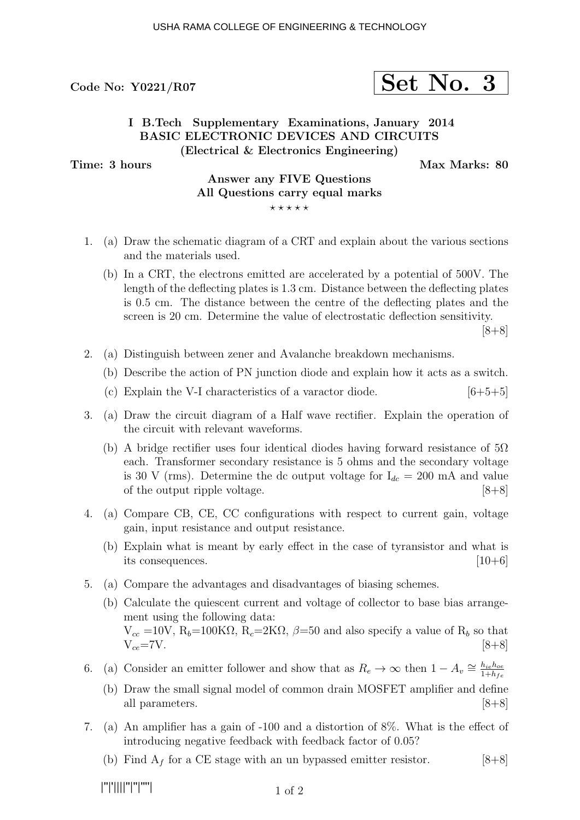# $\text{Code No: } Y0221/\text{R}07$   $\text{Set No. } 3$

## I B.Tech Supplementary Examinations, January 2014 BASIC ELECTRONIC DEVICES AND CIRCUITS (Electrical & Electronics Engineering)

Time: 3 hours and the set of the Max Marks: 80

### Answer any FIVE Questions All Questions carry equal marks  $***$ \*\*

- 1. (a) Draw the schematic diagram of a CRT and explain about the various sections and the materials used.
	- (b) In a CRT, the electrons emitted are accelerated by a potential of 500V. The length of the deflecting plates is 1.3 cm. Distance between the deflecting plates is 0.5 cm. The distance between the centre of the deflecting plates and the screen is 20 cm. Determine the value of electrostatic deflection sensitivity.

 $[8+8]$ 

- 2. (a) Distinguish between zener and Avalanche breakdown mechanisms.
	- (b) Describe the action of PN junction diode and explain how it acts as a switch.
	- (c) Explain the V-I characteristics of a varactor diode.  $[6+5+5]$
- 3. (a) Draw the circuit diagram of a Half wave rectifier. Explain the operation of the circuit with relevant waveforms.
	- (b) A bridge rectifier uses four identical diodes having forward resistance of  $5\Omega$ each. Transformer secondary resistance is 5 ohms and the secondary voltage is 30 V (rms). Determine the dc output voltage for  $I_{dc} = 200$  mA and value of the output ripple voltage. [8+8]
- 4. (a) Compare CB, CE, CC configurations with respect to current gain, voltage gain, input resistance and output resistance.
	- (b) Explain what is meant by early effect in the case of tyransistor and what is its consequences.  $[10+6]$
- 5. (a) Compare the advantages and disadvantages of biasing schemes.
	- (b) Calculate the quiescent current and voltage of collector to base bias arrangement using the following data:  $V_{cc}$  =10V,  $R_b$ =100K $\Omega$ ,  $R_c$ =2K $\Omega$ ,  $\beta$ =50 and also specify a value of  $R_b$  so that  $V_{ce} = 7V.$  [8+8]
- 6. (a) Consider an emitter follower and show that as  $R_e \to \infty$  then  $1 A_v \cong \frac{h_{ie}h_{oe}}{1 + h_{se}}$  $\overline{1+h_{fe}}$ 
	- (b) Draw the small signal model of common drain MOSFET amplifier and define all parameters. [8+8]
- 7. (a) An amplifier has a gain of -100 and a distortion of 8%. What is the effect of introducing negative feedback with feedback factor of 0.05?
	- (b) Find  $A_f$  for a CE stage with an un bypassed emitter resistor. [8+8]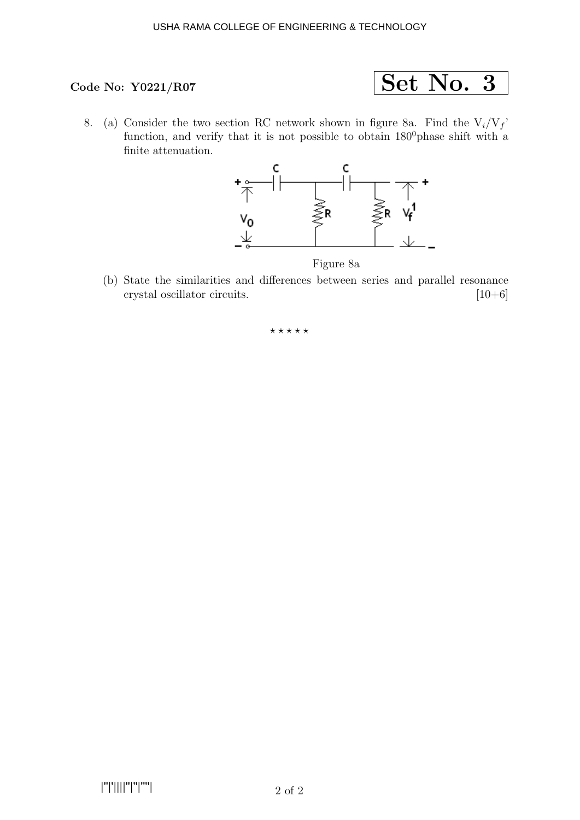# Code No: Y0221/R07  $\qquad \qquad$  Set No. 3

8. (a) Consider the two section RC network shown in figure 8a. Find the  $V_i/V_f$ function, and verify that it is not possible to obtain  $180^0$  phase shift with a finite attenuation.



(b) State the similarities and differences between series and parallel resonance crystal oscillator circuits. [10+6]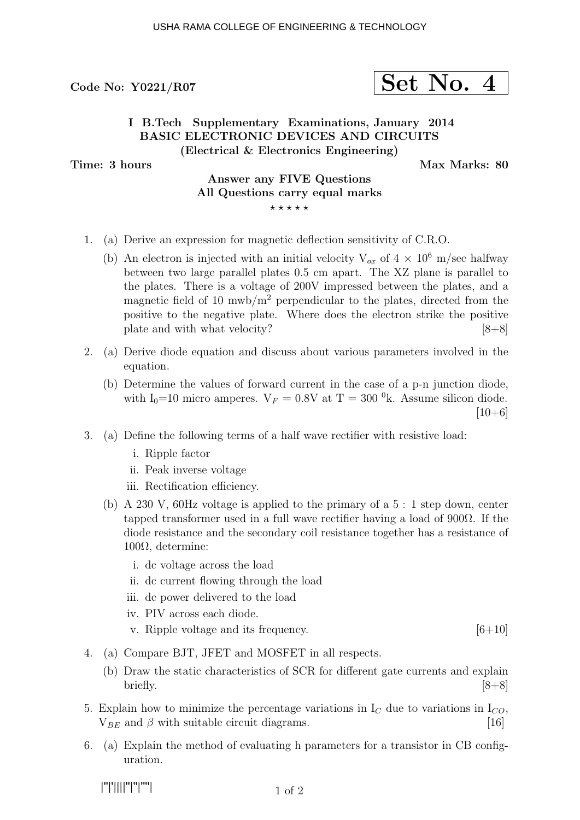# Code No:  $\text{Y}^{0221/\text{R07}}$  Set No. 4

## I B.Tech Supplementary Examinations, January 2014 BASIC ELECTRONIC DEVICES AND CIRCUITS (Electrical & Electronics Engineering)

 $***$ \*\*

Time: 3 hours and the set of the Max Marks: 80

## Answer any FIVE Questions All Questions carry equal marks

- 1. (a) Derive an expression for magnetic deflection sensitivity of C.R.O.
	- (b) An electron is injected with an initial velocity  $V_{ox}$  of  $4 \times 10^6$  m/sec halfway between two large parallel plates 0.5 cm apart. The XZ plane is parallel to the plates. There is a voltage of 200V impressed between the plates, and a magnetic field of 10 mwb/ $m<sup>2</sup>$  perpendicular to the plates, directed from the positive to the negative plate. Where does the electron strike the positive plate and with what velocity? [8+8]
- 2. (a) Derive diode equation and discuss about various parameters involved in the equation.
	- (b) Determine the values of forward current in the case of a p-n junction diode, with I<sub>0</sub>=10 micro amperes.  $V_F = 0.8V$  at T = 300<sup>0</sup>k. Assume silicon diode.  $[10+6]$
- 3. (a) Define the following terms of a half wave rectifier with resistive load:
	- i. Ripple factor
	- ii. Peak inverse voltage
	- iii. Rectification efficiency.
	- (b) A 230 V, 60Hz voltage is applied to the primary of a 5 : 1 step down, center tapped transformer used in a full wave rectifier having a load of 900Ω. If the diode resistance and the secondary coil resistance together has a resistance of 100Ω, determine:
		- i. dc voltage across the load
		- ii. dc current flowing through the load
		- iii. dc power delivered to the load
		- iv. PIV across each diode.
		- v. Ripple voltage and its frequency.  $[6+10]$
- 4. (a) Compare BJT, JFET and MOSFET in all respects.
	- (b) Draw the static characteristics of SCR for different gate currents and explain briefly.  $[8+8]$
- 5. Explain how to minimize the percentage variations in  $I_C$  due to variations in  $I_{CO}$ ,  $V_{BE}$  and  $\beta$  with suitable circuit diagrams. [16]
- 6. (a) Explain the method of evaluating h parameters for a transistor in CB configuration.